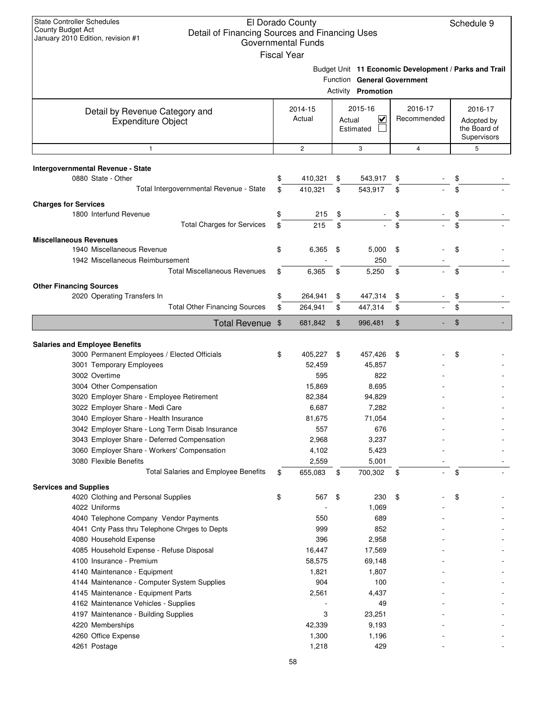| <b>State Controller Schedules</b><br>County Budget Act<br>Detail of Financing Sources and Financing Uses<br>January 2010 Edition, revision #1 | El Dorado County<br><b>Governmental Funds</b><br><b>Fiscal Year</b> |        |                                      |                                                                                      | Schedule 9                                           |
|-----------------------------------------------------------------------------------------------------------------------------------------------|---------------------------------------------------------------------|--------|--------------------------------------|--------------------------------------------------------------------------------------|------------------------------------------------------|
|                                                                                                                                               |                                                                     |        | <b>Activity Promotion</b>            | Budget Unit 11 Economic Development / Parks and Trail<br>Function General Government |                                                      |
| Detail by Revenue Category and<br><b>Expenditure Object</b>                                                                                   | 2014-15<br>Actual                                                   | Actual | 2015-16<br>$\checkmark$<br>Estimated | 2016-17<br>Recommended                                                               | 2016-17<br>Adopted by<br>the Board of<br>Supervisors |
| $\mathbf{1}$                                                                                                                                  | $\mathbf{2}$                                                        |        | 3                                    | $\overline{4}$                                                                       | 5                                                    |
| Intergovernmental Revenue - State                                                                                                             |                                                                     |        |                                      |                                                                                      |                                                      |
| 0880 State - Other                                                                                                                            | \$<br>410,321                                                       | \$     | 543,917                              | \$                                                                                   | \$                                                   |
| Total Intergovernmental Revenue - State                                                                                                       | \$<br>410,321                                                       | \$     | 543,917                              | \$                                                                                   | \$                                                   |
| <b>Charges for Services</b>                                                                                                                   |                                                                     |        |                                      |                                                                                      |                                                      |
| 1800 Interfund Revenue                                                                                                                        | \$<br>215                                                           | \$     |                                      | \$                                                                                   | \$                                                   |
| <b>Total Charges for Services</b>                                                                                                             | \$<br>215                                                           | \$     |                                      | \$                                                                                   | \$                                                   |
| <b>Miscellaneous Revenues</b>                                                                                                                 |                                                                     |        |                                      |                                                                                      |                                                      |
| 1940 Miscellaneous Revenue                                                                                                                    | \$<br>6,365                                                         | \$     | 5,000                                | \$                                                                                   | \$                                                   |
| 1942 Miscellaneous Reimbursement                                                                                                              |                                                                     |        | 250                                  |                                                                                      |                                                      |
| <b>Total Miscellaneous Revenues</b>                                                                                                           | \$<br>6,365                                                         | \$     | 5,250                                | \$                                                                                   | \$                                                   |
| <b>Other Financing Sources</b>                                                                                                                |                                                                     |        |                                      |                                                                                      |                                                      |
| 2020 Operating Transfers In                                                                                                                   | \$<br>264,941                                                       | \$     | 447,314                              | \$                                                                                   | \$                                                   |
| <b>Total Other Financing Sources</b>                                                                                                          | \$<br>264,941                                                       | \$     | 447,314                              | \$                                                                                   | \$                                                   |
| <b>Total Revenue</b>                                                                                                                          | \$<br>681,842                                                       | \$     | 996,481                              | \$                                                                                   | \$                                                   |
| <b>Salaries and Employee Benefits</b>                                                                                                         |                                                                     |        |                                      |                                                                                      |                                                      |
| 3000 Permanent Employees / Elected Officials<br>3001 Temporary Employees                                                                      | \$<br>405,227<br>52,459                                             | \$     | 457,426<br>45,857                    | \$                                                                                   | \$                                                   |
| 3002 Overtime                                                                                                                                 | 595                                                                 |        | 822                                  |                                                                                      |                                                      |
| 3004 Other Compensation                                                                                                                       | 15,869                                                              |        | 8,695                                |                                                                                      |                                                      |
| 3020 Employer Share - Employee Retirement                                                                                                     | 82,384                                                              |        | 94,829                               |                                                                                      |                                                      |
| 3022 Employer Share - Medi Care                                                                                                               | 6,687                                                               |        | 7,282                                |                                                                                      |                                                      |
| 3040 Employer Share - Health Insurance                                                                                                        | 81,675                                                              |        | 71,054                               |                                                                                      |                                                      |
| 3042 Employer Share - Long Term Disab Insurance                                                                                               | 557                                                                 |        | 676                                  |                                                                                      |                                                      |
| 3043 Employer Share - Deferred Compensation                                                                                                   | 2,968                                                               |        | 3,237                                |                                                                                      |                                                      |
| 3060 Employer Share - Workers' Compensation                                                                                                   | 4,102                                                               |        | 5,423                                |                                                                                      |                                                      |
| 3080 Flexible Benefits                                                                                                                        | 2,559                                                               |        | 5,001                                |                                                                                      |                                                      |
| <b>Total Salaries and Employee Benefits</b>                                                                                                   | \$<br>655,083                                                       | \$     | 700,302                              | \$                                                                                   | \$                                                   |
| <b>Services and Supplies</b>                                                                                                                  |                                                                     |        |                                      |                                                                                      |                                                      |
| 4020 Clothing and Personal Supplies                                                                                                           | \$<br>567                                                           | \$     | 230                                  | \$                                                                                   | \$                                                   |
| 4022 Uniforms                                                                                                                                 |                                                                     |        | 1,069                                |                                                                                      |                                                      |
| 4040 Telephone Company Vendor Payments<br>4041 Cnty Pass thru Telephone Chrges to Depts                                                       | 550<br>999                                                          |        | 689<br>852                           |                                                                                      |                                                      |
| 4080 Household Expense                                                                                                                        | 396                                                                 |        | 2,958                                |                                                                                      |                                                      |
| 4085 Household Expense - Refuse Disposal                                                                                                      | 16,447                                                              |        | 17,569                               |                                                                                      |                                                      |
| 4100 Insurance - Premium                                                                                                                      | 58,575                                                              |        | 69,148                               |                                                                                      |                                                      |
| 4140 Maintenance - Equipment                                                                                                                  | 1,821                                                               |        | 1,807                                |                                                                                      |                                                      |
| 4144 Maintenance - Computer System Supplies                                                                                                   | 904                                                                 |        | 100                                  |                                                                                      |                                                      |
| 4145 Maintenance - Equipment Parts                                                                                                            | 2,561                                                               |        | 4,437                                |                                                                                      |                                                      |
| 4162 Maintenance Vehicles - Supplies                                                                                                          |                                                                     |        | 49                                   |                                                                                      |                                                      |
| 4197 Maintenance - Building Supplies                                                                                                          | 3                                                                   |        | 23,251                               |                                                                                      |                                                      |
| 4220 Memberships                                                                                                                              | 42,339                                                              |        | 9,193                                |                                                                                      |                                                      |
| 4260 Office Expense                                                                                                                           | 1,300                                                               |        | 1,196<br>429                         |                                                                                      |                                                      |
| 4261 Postage                                                                                                                                  | 1,218                                                               |        |                                      |                                                                                      |                                                      |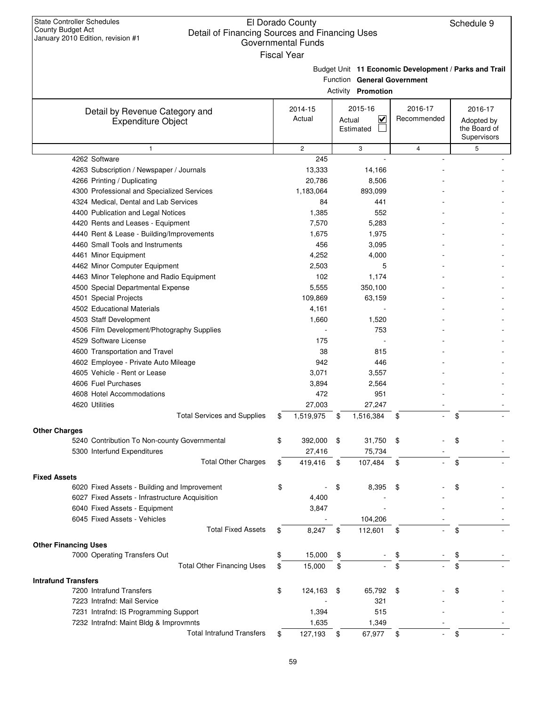**Other Charges**

## El Dorado County Detail of Financing Sources and Financing Uses Governmental Funds

|                                                             | <b>Fiscal Year</b> |                                                          |                                                       |                                                      |
|-------------------------------------------------------------|--------------------|----------------------------------------------------------|-------------------------------------------------------|------------------------------------------------------|
|                                                             |                    | Function General Government<br><b>Activity Promotion</b> | Budget Unit 11 Economic Development / Parks and Trail |                                                      |
| Detail by Revenue Category and<br><b>Expenditure Object</b> | 2014-15<br>Actual  | 2015-16<br>$\blacktriangledown$<br>Actual<br>Estimated   | 2016-17<br>Recommended                                | 2016-17<br>Adopted by<br>the Board of<br>Supervisors |
| $\mathbf{1}$                                                | $\overline{c}$     | 3                                                        | $\overline{\mathbf{4}}$                               | 5                                                    |
| 4262 Software                                               | 245                | ÷,                                                       |                                                       |                                                      |
| 4263 Subscription / Newspaper / Journals                    | 13,333             | 14,166                                                   |                                                       |                                                      |
| 4266 Printing / Duplicating                                 | 20,786             | 8,506                                                    |                                                       |                                                      |
| 4300 Professional and Specialized Services                  | 1,183,064          | 893,099                                                  |                                                       |                                                      |
| 4324 Medical, Dental and Lab Services                       | 84                 | 441                                                      |                                                       |                                                      |
| 4400 Publication and Legal Notices                          | 1,385              | 552                                                      |                                                       |                                                      |
| 4420 Rents and Leases - Equipment                           | 7,570              | 5,283                                                    |                                                       |                                                      |
| 4440 Rent & Lease - Building/Improvements                   | 1,675              | 1,975                                                    |                                                       |                                                      |
| 4460 Small Tools and Instruments                            | 456                | 3,095                                                    |                                                       |                                                      |
| 4461 Minor Equipment                                        | 4,252              | 4,000                                                    |                                                       |                                                      |
| 4462 Minor Computer Equipment                               | 2,503              | 5                                                        |                                                       |                                                      |
| 4463 Minor Telephone and Radio Equipment                    | 102                | 1,174                                                    |                                                       |                                                      |
| 4500 Special Departmental Expense                           | 5,555              | 350,100                                                  |                                                       |                                                      |
| 4501 Special Projects                                       | 109,869            | 63,159                                                   |                                                       |                                                      |
| 4502 Educational Materials                                  | 4,161              |                                                          |                                                       |                                                      |
| 4503 Staff Development                                      | 1,660              | 1,520                                                    |                                                       |                                                      |
| 4506 Film Development/Photography Supplies                  |                    | 753                                                      |                                                       |                                                      |
| 4529 Software License                                       | 175                |                                                          |                                                       |                                                      |
| 4600 Transportation and Travel                              | 38                 | 815                                                      |                                                       |                                                      |
| 4602 Employee - Private Auto Mileage                        | 942                | 446                                                      |                                                       |                                                      |
| 4605 Vehicle - Rent or Lease                                | 3,071              | 3,557                                                    |                                                       |                                                      |
| 4606 Fuel Purchases                                         | 3,894              | 2,564                                                    |                                                       |                                                      |
| 4608 Hotel Accommodations                                   | 472                | 951                                                      |                                                       |                                                      |
| 4620 Utilities                                              | 27,003             | 27,247                                                   |                                                       |                                                      |
| <b>Total Services and Supplies</b>                          | \$<br>1,519,975    | \$<br>1,516,384                                          | \$                                                    | \$                                                   |
| ges:                                                        |                    |                                                          |                                                       |                                                      |
| 5240 Contribution To Non-county Governmental                | \$<br>392,000      | \$<br>31,750                                             | \$                                                    | \$                                                   |
| 5300 Interfund Expenditures                                 | 27,416             | 75,734                                                   |                                                       |                                                      |
| <b>Total Other Charges</b>                                  | \$<br>419,416      | \$<br>107,484                                            | \$                                                    | \$                                                   |
| ۱s                                                          |                    |                                                          |                                                       |                                                      |
| 6020 Fixed Assets - Building and Improvement                | \$                 | \$<br>8,395                                              | \$                                                    | \$                                                   |
|                                                             |                    |                                                          |                                                       |                                                      |

| <b>Fixed Assets</b>                            |                      |      |         |                                |    |  |
|------------------------------------------------|----------------------|------|---------|--------------------------------|----|--|
| 6020 Fixed Assets - Building and Improvement   | \$<br>$\blacksquare$ | \$   | 8,395   | \$<br>$\sim$                   | \$ |  |
| 6027 Fixed Assets - Infrastructure Acquisition | 4,400                |      |         |                                |    |  |
| 6040 Fixed Assets - Equipment                  | 3,847                |      |         |                                |    |  |
| 6045 Fixed Assets - Vehicles                   |                      |      | 104,206 |                                |    |  |
| <b>Total Fixed Assets</b>                      | \$<br>8,247          | \$   | 112,601 | \$<br>$\overline{\phantom{a}}$ | \$ |  |
| <b>Other Financing Uses</b>                    |                      |      |         |                                |    |  |
| 7000 Operating Transfers Out                   | \$<br>15,000         | \$   | $\sim$  | \$<br>$\sim$                   | \$ |  |
| <b>Total Other Financing Uses</b>              | \$<br>15,000         | \$   | $\sim$  | \$<br>$\sim$                   | \$ |  |
| <b>Intrafund Transfers</b>                     |                      |      |         |                                |    |  |
| 7200 Intrafund Transfers                       | \$<br>124,163        | - \$ | 65,792  | \$<br>$\sim$ $-$               | \$ |  |
| 7223 Intrafnd: Mail Service                    |                      |      | 321     |                                |    |  |
| 7231 Intrafnd: IS Programming Support          | 1,394                |      | 515     |                                |    |  |
| 7232 Intrafnd: Maint Bldg & Improvmnts         | 1,635                |      | 1,349   |                                |    |  |
| <b>Total Intrafund Transfers</b>               | \$<br>127,193        | S    | 67,977  | \$<br>۰.                       | J. |  |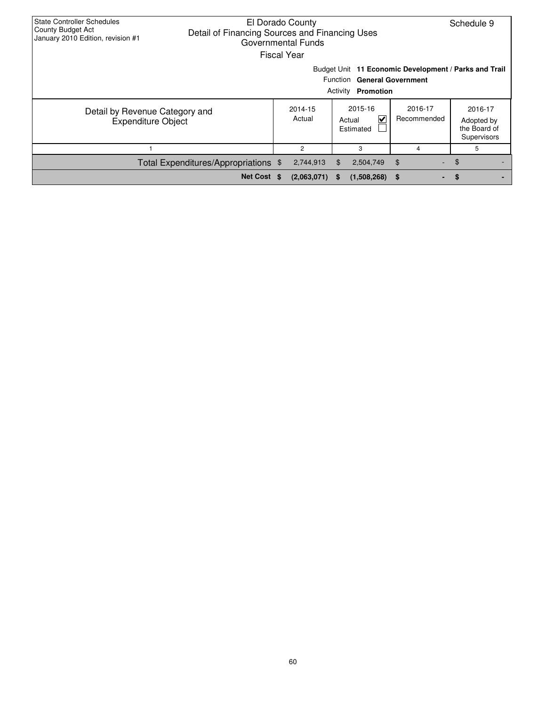| <b>State Controller Schedules</b><br>County Budget Act<br>January 2010 Edition, revision #1 | El Dorado County<br>Detail of Financing Sources and Financing Uses<br>Governmental Funds | <b>Fiscal Year</b> |                   |          |                                          |                        | Schedule 9                                            |
|---------------------------------------------------------------------------------------------|------------------------------------------------------------------------------------------|--------------------|-------------------|----------|------------------------------------------|------------------------|-------------------------------------------------------|
|                                                                                             |                                                                                          |                    |                   | Activity | Function General Government<br>Promotion |                        | Budget Unit 11 Economic Development / Parks and Trail |
| Detail by Revenue Category and<br><b>Expenditure Object</b>                                 |                                                                                          |                    | 2014-15<br>Actual |          | 2015-16<br>V<br>Actual<br>Estimated      | 2016-17<br>Recommended | 2016-17<br>Adopted by<br>the Board of<br>Supervisors  |
|                                                                                             |                                                                                          |                    | 2                 |          | 3                                        | 4                      | 5                                                     |
|                                                                                             | Total Expenditures/Appropriations \$                                                     |                    | 2,744,913         | \$.      | 2,504,749                                | \$                     | $-$ \$                                                |
|                                                                                             | Net Cost \$                                                                              |                    | (2,063,071)       | - 56     | (1,508,268)                              | 5<br>۰.                | <b>S</b>                                              |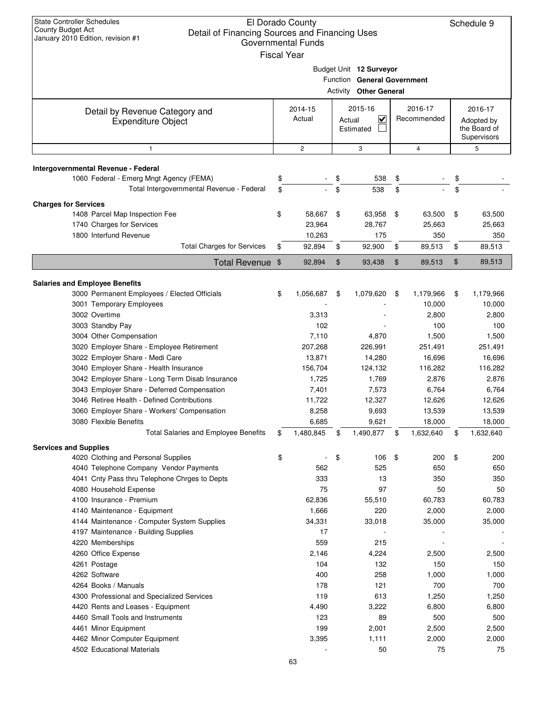| <b>State Controller Schedules</b><br><b>County Budget Act</b><br>Detail of Financing Sources and Financing Uses<br>January 2010 Edition, revision #1 | El Dorado County<br><b>Governmental Funds</b><br><b>Fiscal Year</b> |          |                                                                                       |          |                         | Schedule 9                                           |
|------------------------------------------------------------------------------------------------------------------------------------------------------|---------------------------------------------------------------------|----------|---------------------------------------------------------------------------------------|----------|-------------------------|------------------------------------------------------|
|                                                                                                                                                      |                                                                     | Function | Budget Unit 12 Surveyor<br><b>General Government</b><br><b>Activity Other General</b> |          |                         |                                                      |
| Detail by Revenue Category and<br><b>Expenditure Object</b>                                                                                          | 2014-15<br>Actual                                                   | Actual   | 2015-16<br>$\overline{\mathsf{v}}$<br>Estimated                                       |          | 2016-17<br>Recommended  | 2016-17<br>Adopted by<br>the Board of<br>Supervisors |
| 1                                                                                                                                                    | $\mathbf{2}$                                                        |          | 3                                                                                     |          | $\overline{\mathbf{4}}$ | 5                                                    |
| Intergovernmental Revenue - Federal                                                                                                                  |                                                                     |          |                                                                                       |          |                         |                                                      |
| 1060 Federal - Emerg Mngt Agency (FEMA)<br>Total Intergovernmental Revenue - Federal                                                                 | \$                                                                  | \$<br>\$ | 538                                                                                   | \$<br>\$ |                         | \$                                                   |
|                                                                                                                                                      | \$                                                                  |          | 538                                                                                   |          |                         | \$                                                   |
| <b>Charges for Services</b>                                                                                                                          |                                                                     |          |                                                                                       |          |                         |                                                      |
| 1408 Parcel Map Inspection Fee                                                                                                                       | \$<br>58,667                                                        | \$       | 63,958                                                                                | \$       | 63,500                  | \$<br>63,500                                         |
| 1740 Charges for Services<br>1800 Interfund Revenue                                                                                                  | 23,964<br>10,263                                                    |          | 28,767<br>175                                                                         |          | 25,663<br>350           | 25,663<br>350                                        |
| <b>Total Charges for Services</b>                                                                                                                    | \$<br>92,894                                                        | \$       | 92,900                                                                                | \$       | 89,513                  | \$<br>89,513                                         |
| Total Revenue \$                                                                                                                                     | 92,894                                                              | \$       | 93,438                                                                                | \$       | 89,513                  | \$<br>89,513                                         |
|                                                                                                                                                      |                                                                     |          |                                                                                       |          |                         |                                                      |
| <b>Salaries and Employee Benefits</b><br>3000 Permanent Employees / Elected Officials<br>3001 Temporary Employees                                    | \$<br>1,056,687                                                     | \$       | 1,079,620                                                                             | \$       | 1,179,966<br>10,000     | \$<br>1,179,966<br>10,000                            |
| 3002 Overtime                                                                                                                                        | 3,313                                                               |          |                                                                                       |          | 2,800                   | 2,800                                                |
| 3003 Standby Pay                                                                                                                                     | 102                                                                 |          |                                                                                       |          | 100                     | 100                                                  |
| 3004 Other Compensation                                                                                                                              | 7,110                                                               |          | 4,870                                                                                 |          | 1,500                   | 1,500                                                |
| 3020 Employer Share - Employee Retirement                                                                                                            | 207,268                                                             |          | 226,991                                                                               |          | 251,491                 | 251,491                                              |
| 3022 Employer Share - Medi Care                                                                                                                      | 13,871                                                              |          | 14,280                                                                                |          | 16,696                  | 16,696                                               |
| 3040 Employer Share - Health Insurance                                                                                                               | 156,704                                                             |          | 124,132                                                                               |          | 116,282                 | 116,282                                              |
| 3042 Employer Share - Long Term Disab Insurance                                                                                                      | 1,725                                                               |          | 1,769                                                                                 |          | 2,876                   | 2,876                                                |
| 3043 Employer Share - Deferred Compensation<br>3046 Retiree Health - Defined Contributions                                                           | 7,401<br>11,722                                                     |          | 7,573<br>12,327                                                                       |          | 6,764<br>12,626         | 6,764<br>12,626                                      |
| 3060 Employer Share - Workers' Compensation                                                                                                          | 8,258                                                               |          |                                                                                       |          |                         | 13,539                                               |
| 3080 Flexible Benefits                                                                                                                               | 6,685                                                               |          | 9,693<br>9,621                                                                        |          | 13,539<br>18,000        | 18,000                                               |
| <b>Total Salaries and Employee Benefits</b>                                                                                                          | \$<br>1,480,845                                                     | \$       | 1,490,877                                                                             | \$       | 1,632,640               | \$<br>1,632,640                                      |
| <b>Services and Supplies</b>                                                                                                                         |                                                                     |          |                                                                                       |          |                         |                                                      |
| 4020 Clothing and Personal Supplies                                                                                                                  | \$                                                                  | \$       | 106                                                                                   | \$       | 200                     | \$<br>200                                            |
| 4040 Telephone Company Vendor Payments                                                                                                               | 562                                                                 |          | 525                                                                                   |          | 650                     | 650                                                  |
| 4041 Cnty Pass thru Telephone Chrges to Depts                                                                                                        | 333                                                                 |          | 13                                                                                    |          | 350                     | 350                                                  |
| 4080 Household Expense                                                                                                                               | 75                                                                  |          | 97                                                                                    |          | 50                      | 50                                                   |
| 4100 Insurance - Premium                                                                                                                             | 62,836                                                              |          | 55,510                                                                                |          | 60,783                  | 60,783                                               |
| 4140 Maintenance - Equipment                                                                                                                         | 1,666                                                               |          | 220                                                                                   |          | 2,000                   | 2,000                                                |
| 4144 Maintenance - Computer System Supplies                                                                                                          | 34,331                                                              |          | 33,018                                                                                |          | 35,000                  | 35,000                                               |
| 4197 Maintenance - Building Supplies                                                                                                                 | 17                                                                  |          |                                                                                       |          |                         |                                                      |
| 4220 Memberships                                                                                                                                     | 559                                                                 |          | 215                                                                                   |          |                         |                                                      |
| 4260 Office Expense                                                                                                                                  | 2,146                                                               |          | 4,224                                                                                 |          | 2,500                   | 2,500                                                |
| 4261 Postage                                                                                                                                         | 104                                                                 |          | 132                                                                                   |          | 150                     | 150                                                  |
| 4262 Software                                                                                                                                        | 400                                                                 |          | 258                                                                                   |          | 1,000                   | 1,000                                                |
| 4264 Books / Manuals                                                                                                                                 | 178<br>119                                                          |          | 121<br>613                                                                            |          | 700                     | 700                                                  |
| 4300 Professional and Specialized Services<br>4420 Rents and Leases - Equipment                                                                      | 4,490                                                               |          | 3,222                                                                                 |          | 1,250<br>6,800          | 1,250<br>6,800                                       |
| 4460 Small Tools and Instruments                                                                                                                     | 123                                                                 |          | 89                                                                                    |          | 500                     | 500                                                  |
| 4461 Minor Equipment                                                                                                                                 |                                                                     |          |                                                                                       |          |                         |                                                      |
|                                                                                                                                                      |                                                                     |          |                                                                                       |          |                         |                                                      |
| 4462 Minor Computer Equipment                                                                                                                        | 199<br>3,395                                                        |          | 2,001<br>1,111                                                                        |          | 2,500<br>2,000          | 2,500<br>2,000                                       |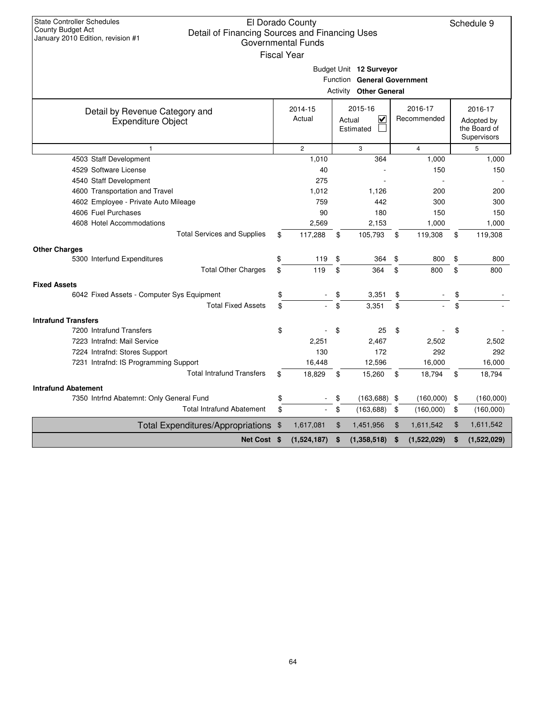| <b>State Controller Schedules</b><br><b>County Budget Act</b><br>Detail of Financing Sources and Financing Uses<br>January 2010 Edition, revision #1 |      | El Dorado County<br><b>Governmental Funds</b><br><b>Fiscal Year</b> |                                                                                         |                        | Schedule 9                                           |
|------------------------------------------------------------------------------------------------------------------------------------------------------|------|---------------------------------------------------------------------|-----------------------------------------------------------------------------------------|------------------------|------------------------------------------------------|
|                                                                                                                                                      |      |                                                                     | Budget Unit 12 Surveyor<br>Function General Government<br><b>Activity Other General</b> |                        |                                                      |
| Detail by Revenue Category and<br><b>Expenditure Object</b>                                                                                          |      | 2014-15<br>Actual                                                   | 2015-16<br>✓<br>Actual<br>Estimated                                                     | 2016-17<br>Recommended | 2016-17<br>Adopted by<br>the Board of<br>Supervisors |
| $\mathbf{1}$                                                                                                                                         |      | $\overline{2}$                                                      | 3                                                                                       | $\overline{4}$         | 5                                                    |
| 4503 Staff Development                                                                                                                               |      | 1,010                                                               | 364                                                                                     | 1,000                  | 1,000                                                |
| 4529 Software License                                                                                                                                |      | 40                                                                  |                                                                                         | 150                    | 150                                                  |
| 4540 Staff Development                                                                                                                               |      | 275                                                                 |                                                                                         |                        |                                                      |
| 4600 Transportation and Travel                                                                                                                       |      | 1,012                                                               | 1,126                                                                                   | 200                    | 200                                                  |
| 4602 Employee - Private Auto Mileage                                                                                                                 |      | 759                                                                 | 442                                                                                     | 300                    | 300                                                  |
| 4606 Fuel Purchases                                                                                                                                  |      | 90                                                                  | 180                                                                                     | 150                    | 150                                                  |
| 4608 Hotel Accommodations                                                                                                                            |      | 2,569                                                               | 2,153                                                                                   | 1,000                  | 1,000                                                |
| <b>Total Services and Supplies</b>                                                                                                                   | \$   | 117,288                                                             | \$<br>105,793                                                                           | \$<br>119,308          | \$<br>119,308                                        |
| <b>Other Charges</b>                                                                                                                                 |      |                                                                     |                                                                                         |                        |                                                      |
| 5300 Interfund Expenditures                                                                                                                          | \$   | 119                                                                 | \$<br>364                                                                               | \$<br>800              | \$<br>800                                            |
| <b>Total Other Charges</b>                                                                                                                           | \$   | 119                                                                 | \$<br>364                                                                               | \$<br>800              | \$<br>800                                            |
| <b>Fixed Assets</b>                                                                                                                                  |      |                                                                     |                                                                                         |                        |                                                      |
| 6042 Fixed Assets - Computer Sys Equipment                                                                                                           | \$   |                                                                     | 3,351                                                                                   | \$                     | \$                                                   |
| <b>Total Fixed Assets</b>                                                                                                                            | \$   |                                                                     | \$<br>3,351                                                                             | \$                     | \$                                                   |
| <b>Intrafund Transfers</b>                                                                                                                           |      |                                                                     |                                                                                         |                        |                                                      |
| 7200 Intrafund Transfers                                                                                                                             | \$   |                                                                     | \$<br>25                                                                                | \$                     | \$                                                   |
| 7223 Intrafnd: Mail Service                                                                                                                          |      | 2,251                                                               | 2,467                                                                                   | 2,502                  | 2,502                                                |
| 7224 Intrafnd: Stores Support                                                                                                                        |      | 130                                                                 | 172                                                                                     | 292                    | 292                                                  |
| 7231 Intrafnd: IS Programming Support                                                                                                                |      | 16,448                                                              | 12,596                                                                                  | 16,000                 | 16,000                                               |
| <b>Total Intrafund Transfers</b>                                                                                                                     | \$   | 18,829                                                              | \$<br>15,260                                                                            | \$<br>18,794           | \$<br>18,794                                         |
| <b>Intrafund Abatement</b>                                                                                                                           |      |                                                                     |                                                                                         |                        |                                                      |
| 7350 Intrfnd Abatemnt: Only General Fund                                                                                                             | \$   |                                                                     | \$<br>(163, 688)                                                                        | \$<br>(160,000)        | \$<br>(160,000)                                      |
| <b>Total Intrafund Abatement</b>                                                                                                                     | \$   |                                                                     | \$<br>(163, 688)                                                                        | \$<br>(160,000)        | \$<br>(160,000)                                      |
| <b>Total Expenditures/Appropriations</b>                                                                                                             | - \$ | 1,617,081                                                           | \$<br>1,451,956                                                                         | \$<br>1,611,542        | \$<br>1,611,542                                      |
| Net Cost \$                                                                                                                                          |      | (1,524,187)                                                         | \$<br>(1,358,518)                                                                       | \$<br>(1,522,029)      | \$<br>(1,522,029)                                    |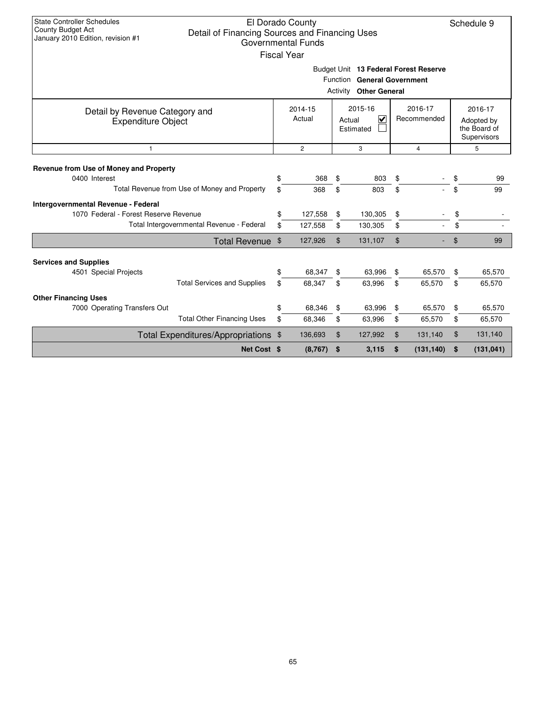| <b>State Controller Schedules</b><br>County Budget Act<br>Detail of Financing Sources and Financing Uses<br>January 2010 Edition, revision #1 | El Dorado County<br><b>Governmental Funds</b><br><b>Fiscal Year</b> |                |                                                                                              |                |                             |                | Schedule 9                                           |
|-----------------------------------------------------------------------------------------------------------------------------------------------|---------------------------------------------------------------------|----------------|----------------------------------------------------------------------------------------------|----------------|-----------------------------|----------------|------------------------------------------------------|
|                                                                                                                                               |                                                                     | Activity       | Budget Unit 13 Federal Forest Reserve<br>Function General Government<br><b>Other General</b> |                |                             |                |                                                      |
| Detail by Revenue Category and<br><b>Expenditure Object</b>                                                                                   | 2014-15<br>Actual                                                   |                | 2015-16<br>⊽<br>Actual<br>Estimated                                                          |                | 2016-17<br>Recommended      |                | 2016-17<br>Adopted by<br>the Board of<br>Supervisors |
| $\mathbf{1}$                                                                                                                                  | $\overline{2}$                                                      |                | 3                                                                                            |                | $\overline{4}$              |                | 5                                                    |
| Revenue from Use of Money and Property<br>0400 Interest                                                                                       | \$<br>368                                                           | \$             | 803                                                                                          | \$             |                             | \$             | 99                                                   |
| Total Revenue from Use of Money and Property                                                                                                  | \$<br>368                                                           | \$             | 803                                                                                          | \$             | $\mathcal{L}^{\mathcal{A}}$ | \$             | 99                                                   |
| Intergovernmental Revenue - Federal<br>1070 Federal - Forest Reserve Revenue                                                                  | \$<br>127,558                                                       | \$             | 130,305                                                                                      | \$             |                             | \$             |                                                      |
| Total Intergovernmental Revenue - Federal                                                                                                     | \$<br>127,558                                                       | \$             | 130,305                                                                                      | \$             | ÷.                          | \$             |                                                      |
| Total Revenue \$                                                                                                                              | 127,926                                                             | $\mathfrak{S}$ | 131,107                                                                                      | $\mathfrak{F}$ |                             | $\mathfrak{F}$ | 99                                                   |
| <b>Services and Supplies</b>                                                                                                                  |                                                                     |                |                                                                                              |                |                             |                |                                                      |
| 4501 Special Projects                                                                                                                         | \$<br>68.347                                                        | \$             | 63,996                                                                                       | \$             | 65,570                      | \$             | 65,570                                               |
| <b>Total Services and Supplies</b>                                                                                                            | \$<br>68,347                                                        | \$             | 63,996                                                                                       | \$             | 65,570                      | \$             | 65,570                                               |
| <b>Other Financing Uses</b><br>7000 Operating Transfers Out                                                                                   | \$<br>68,346                                                        | \$             | 63,996                                                                                       | \$             | 65,570                      | \$             | 65,570                                               |
| <b>Total Other Financing Uses</b>                                                                                                             | \$<br>68,346                                                        | \$             | 63,996                                                                                       | \$             | 65,570                      | \$             | 65,570                                               |
| Total Expenditures/Appropriations \$                                                                                                          | 136,693                                                             | $\mathfrak{S}$ | 127,992                                                                                      | \$             | 131,140                     | \$             | 131,140                                              |
| Net Cost \$                                                                                                                                   | (8,767)                                                             | \$             | 3,115                                                                                        | \$             | (131, 140)                  | \$             | (131, 041)                                           |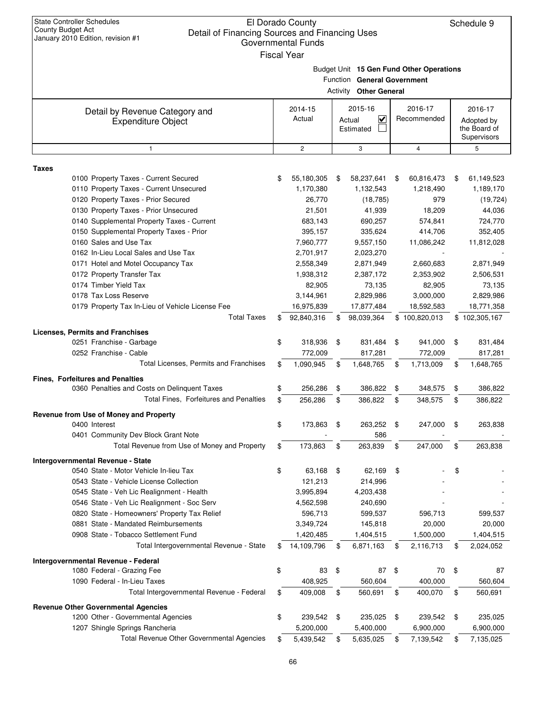| <b>State Controller Schedules</b><br><b>County Budget Act</b><br>Detail of Financing Sources and Financing Uses<br>January 2010 Edition, revision #1 | El Dorado County<br><b>Governmental Funds</b><br><b>Fiscal Year</b> |     |                                                              |     |                                          | Schedule 9                            |
|------------------------------------------------------------------------------------------------------------------------------------------------------|---------------------------------------------------------------------|-----|--------------------------------------------------------------|-----|------------------------------------------|---------------------------------------|
|                                                                                                                                                      |                                                                     |     | Function General Government<br><b>Activity Other General</b> |     | Budget Unit 15 Gen Fund Other Operations |                                       |
| Detail by Revenue Category and<br><b>Expenditure Object</b>                                                                                          | 2014-15<br>Actual                                                   |     | 2015-16<br>V<br>Actual<br>Estimated                          |     | 2016-17<br>Recommended                   | 2016-17<br>Adopted by<br>the Board of |
|                                                                                                                                                      |                                                                     |     |                                                              |     |                                          | Supervisors                           |
| $\mathbf{1}$                                                                                                                                         | $\overline{2}$                                                      |     | 3                                                            |     | $\overline{4}$                           | 5                                     |
| <b>Taxes</b>                                                                                                                                         |                                                                     |     |                                                              |     |                                          |                                       |
| 0100 Property Taxes - Current Secured                                                                                                                | \$<br>55,180,305                                                    | S   | 58,237,641                                                   | \$  | 60,816,473                               | \$<br>61,149,523                      |
| 0110 Property Taxes - Current Unsecured                                                                                                              | 1,170,380                                                           |     | 1,132,543                                                    |     | 1,218,490                                | 1,189,170                             |
| 0120 Property Taxes - Prior Secured                                                                                                                  | 26,770                                                              |     | (18, 785)                                                    |     | 979                                      | (19, 724)                             |
| 0130 Property Taxes - Prior Unsecured<br>0140 Supplemental Property Taxes - Current                                                                  | 21,501<br>683,143                                                   |     | 41,939<br>690,257                                            |     | 18,209<br>574,841                        | 44,036<br>724,770                     |
| 0150 Supplemental Property Taxes - Prior                                                                                                             | 395,157                                                             |     | 335,624                                                      |     | 414,706                                  | 352,405                               |
| 0160 Sales and Use Tax                                                                                                                               | 7,960,777                                                           |     | 9,557,150                                                    |     | 11,086,242                               | 11,812,028                            |
| 0162 In-Lieu Local Sales and Use Tax                                                                                                                 | 2,701,917                                                           |     | 2,023,270                                                    |     |                                          |                                       |
| 0171 Hotel and Motel Occupancy Tax                                                                                                                   | 2,558,349                                                           |     | 2,871,949                                                    |     | 2,660,683                                | 2,871,949                             |
| 0172 Property Transfer Tax                                                                                                                           | 1,938,312                                                           |     | 2,387,172                                                    |     | 2,353,902                                | 2,506,531                             |
| 0174 Timber Yield Tax                                                                                                                                | 82,905                                                              |     | 73,135                                                       |     | 82,905                                   | 73,135                                |
| 0178 Tax Loss Reserve                                                                                                                                | 3,144,961                                                           |     | 2,829,986                                                    |     | 3,000,000                                | 2,829,986                             |
| 0179 Property Tax In-Lieu of Vehicle License Fee                                                                                                     | 16,975,839                                                          |     | 17,877,484                                                   |     | 18,592,583                               | 18,771,358                            |
| <b>Total Taxes</b>                                                                                                                                   | \$<br>92,840,316                                                    | \$. | 98,039,364                                                   | \$. | 100,820,013                              | \$102,305,167                         |
| <b>Licenses, Permits and Franchises</b>                                                                                                              |                                                                     |     |                                                              |     |                                          |                                       |
| 0251 Franchise - Garbage                                                                                                                             | \$<br>318,936                                                       | \$  | 831,484                                                      | \$  | 941,000                                  | \$<br>831,484                         |
| 0252 Franchise - Cable                                                                                                                               | 772,009                                                             |     | 817,281                                                      |     | 772,009                                  | 817,281                               |
| Total Licenses, Permits and Franchises                                                                                                               | \$<br>1,090,945                                                     | \$  | 1,648,765                                                    | \$  | 1,713,009                                | \$<br>1,648,765                       |
| Fines, Forfeitures and Penalties                                                                                                                     |                                                                     |     |                                                              |     |                                          |                                       |
| 0360 Penalties and Costs on Delinquent Taxes                                                                                                         | \$<br>256,286                                                       | \$  | 386,822                                                      | \$  | 348,575                                  | \$<br>386,822                         |
| <b>Total Fines. Forfeitures and Penalties</b>                                                                                                        | \$<br>256,286                                                       | \$  | 386,822                                                      | \$  | 348,575                                  | \$<br>386,822                         |
| Revenue from Use of Money and Property                                                                                                               |                                                                     |     |                                                              |     |                                          |                                       |
| 0400 Interest                                                                                                                                        | \$<br>173,863                                                       | \$  | 263,252                                                      | \$  | 247,000                                  | \$<br>263,838                         |
| 0401 Community Dev Block Grant Note                                                                                                                  |                                                                     |     | 586                                                          |     |                                          |                                       |
| Total Revenue from Use of Money and Property                                                                                                         | \$<br>173,863                                                       | \$  | 263,839                                                      | \$  | 247,000                                  | \$<br>263,838                         |
| Intergovernmental Revenue - State                                                                                                                    |                                                                     |     |                                                              |     |                                          |                                       |
| 0540 State - Motor Vehicle In-lieu Tax                                                                                                               | \$<br>63,168                                                        | \$  | 62,169                                                       | \$  |                                          | \$                                    |
| 0543 State - Vehicle License Collection                                                                                                              | 121,213                                                             |     | 214,996                                                      |     |                                          |                                       |
| 0545 State - Veh Lic Realignment - Health                                                                                                            | 3,995,894                                                           |     | 4,203,438                                                    |     |                                          |                                       |
| 0546 State - Veh Lic Realignment - Soc Serv                                                                                                          | 4,562,598                                                           |     | 240,690                                                      |     |                                          |                                       |
| 0820 State - Homeowners' Property Tax Relief                                                                                                         | 596,713                                                             |     | 599,537                                                      |     | 596,713                                  | 599,537                               |
| 0881 State - Mandated Reimbursements                                                                                                                 | 3,349,724                                                           |     | 145,818                                                      |     | 20,000                                   | 20,000                                |
| 0908 State - Tobacco Settlement Fund                                                                                                                 | 1,420,485                                                           |     | 1,404,515                                                    |     | 1,500,000                                | 1,404,515                             |
| Total Intergovernmental Revenue - State                                                                                                              | \$<br>14,109,796                                                    | \$  | 6,871,163                                                    | \$  | 2,116,713                                | \$<br>2,024,052                       |
| Intergovernmental Revenue - Federal                                                                                                                  |                                                                     |     |                                                              |     |                                          |                                       |
| 1080 Federal - Grazing Fee                                                                                                                           | \$<br>83                                                            | \$  | 87                                                           | \$  | 70                                       | \$<br>87                              |
| 1090 Federal - In-Lieu Taxes                                                                                                                         | 408,925                                                             |     | 560,604                                                      |     | 400,000                                  | 560,604                               |
| Total Intergovernmental Revenue - Federal                                                                                                            | \$<br>409,008                                                       | \$  | 560,691                                                      | \$  | 400,070                                  | \$<br>560,691                         |
| <b>Revenue Other Governmental Agencies</b>                                                                                                           |                                                                     |     |                                                              |     |                                          |                                       |
| 1200 Other - Governmental Agencies                                                                                                                   | \$<br>239,542                                                       | \$  | 235,025                                                      | \$  | 239,542                                  | \$<br>235,025                         |
| 1207 Shingle Springs Rancheria                                                                                                                       | 5,200,000                                                           |     | 5,400,000                                                    |     | 6,900,000                                | 6,900,000                             |
| Total Revenue Other Governmental Agencies                                                                                                            | \$<br>5,439,542                                                     | \$  | 5,635,025                                                    | \$  | 7,139,542                                | \$<br>7,135,025                       |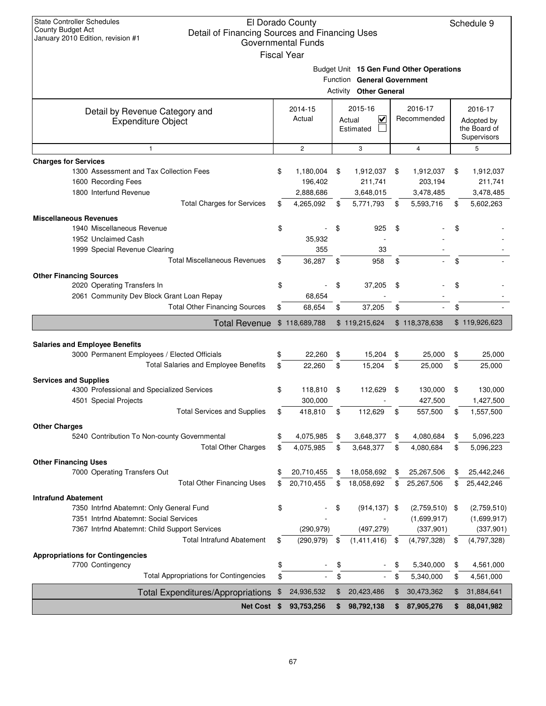| <b>State Controller Schedules</b><br><b>County Budget Act</b><br>Detail of Financing Sources and Financing Uses<br>January 2010 Edition, revision #1 | El Dorado County<br><b>Governmental Funds</b><br><b>Fiscal Year</b> |                                                              |                |                                          |    | Schedule 9                                           |
|------------------------------------------------------------------------------------------------------------------------------------------------------|---------------------------------------------------------------------|--------------------------------------------------------------|----------------|------------------------------------------|----|------------------------------------------------------|
|                                                                                                                                                      |                                                                     | Function General Government<br><b>Activity Other General</b> |                | Budget Unit 15 Gen Fund Other Operations |    |                                                      |
| Detail by Revenue Category and<br><b>Expenditure Object</b>                                                                                          | 2014-15<br>Actual                                                   | 2015-16<br>V<br>Actual<br>Estimated                          |                | 2016-17<br>Recommended                   |    | 2016-17<br>Adopted by<br>the Board of<br>Supervisors |
| $\mathbf{1}$                                                                                                                                         | 2                                                                   | 3                                                            |                | 4                                        |    | 5                                                    |
| <b>Charges for Services</b>                                                                                                                          |                                                                     |                                                              |                |                                          |    |                                                      |
| 1300 Assessment and Tax Collection Fees                                                                                                              | \$<br>1,180,004                                                     | \$<br>1,912,037                                              | \$             | 1,912,037                                | \$ | 1,912,037                                            |
| 1600 Recording Fees                                                                                                                                  | 196,402                                                             | 211,741                                                      |                | 203,194                                  |    | 211,741                                              |
| 1800 Interfund Revenue                                                                                                                               | 2,888,686                                                           | 3,648,015                                                    |                | 3,478,485                                |    | 3,478,485                                            |
| <b>Total Charges for Services</b>                                                                                                                    | \$<br>4,265,092                                                     | \$<br>5,771,793                                              | \$             | 5,593,716                                | S  | 5,602,263                                            |
| <b>Miscellaneous Revenues</b>                                                                                                                        |                                                                     |                                                              |                |                                          |    |                                                      |
| 1940 Miscellaneous Revenue                                                                                                                           | \$                                                                  | \$<br>925                                                    | \$             |                                          |    |                                                      |
| 1952 Unclaimed Cash                                                                                                                                  | 35,932                                                              |                                                              |                |                                          |    |                                                      |
| 1999 Special Revenue Clearing                                                                                                                        | 355                                                                 | 33                                                           |                |                                          |    |                                                      |
| <b>Total Miscellaneous Revenues</b>                                                                                                                  | \$<br>36,287                                                        | \$<br>958                                                    | \$             |                                          | \$ |                                                      |
| <b>Other Financing Sources</b>                                                                                                                       |                                                                     |                                                              |                |                                          |    |                                                      |
| 2020 Operating Transfers In                                                                                                                          | \$                                                                  | \$<br>37,205                                                 | \$             |                                          | \$ |                                                      |
| 2061 Community Dev Block Grant Loan Repay                                                                                                            | 68,654                                                              |                                                              |                |                                          |    |                                                      |
| <b>Total Other Financing Sources</b>                                                                                                                 | \$<br>68,654                                                        | \$<br>37,205                                                 | \$             |                                          | \$ |                                                      |
| <b>Total Revenue</b>                                                                                                                                 | \$118,689,788                                                       | \$119,215,624                                                |                | \$118,378,638                            |    | \$119,926,623                                        |
|                                                                                                                                                      |                                                                     |                                                              |                |                                          |    |                                                      |
| <b>Salaries and Employee Benefits</b>                                                                                                                |                                                                     |                                                              |                |                                          |    |                                                      |
| 3000 Permanent Employees / Elected Officials                                                                                                         | \$<br>22,260                                                        | \$<br>15,204                                                 | \$             | 25,000                                   | \$ | 25,000                                               |
| Total Salaries and Employee Benefits                                                                                                                 | \$<br>22,260                                                        | \$<br>15,204                                                 | \$             | 25,000                                   | \$ | 25,000                                               |
| <b>Services and Supplies</b>                                                                                                                         |                                                                     |                                                              |                |                                          |    |                                                      |
| 4300 Professional and Specialized Services                                                                                                           | \$<br>118,810                                                       | \$<br>112,629                                                | \$             | 130,000                                  | \$ | 130,000                                              |
| 4501 Special Projects                                                                                                                                | 300,000                                                             |                                                              |                | 427,500                                  |    | 1,427,500                                            |
|                                                                                                                                                      |                                                                     |                                                              |                |                                          |    | 1,557,500                                            |
|                                                                                                                                                      |                                                                     |                                                              |                |                                          |    |                                                      |
| <b>Total Services and Supplies</b>                                                                                                                   | 418,810                                                             | \$<br>112,629                                                |                | 557,500                                  | \$ |                                                      |
| <b>Other Charges</b>                                                                                                                                 |                                                                     |                                                              |                |                                          |    |                                                      |
| 5240 Contribution To Non-county Governmental                                                                                                         | \$<br>4,075,985                                                     | \$<br>3,648,377                                              | \$             | 4,080,684                                | \$ | 5,096,223                                            |
| <b>Total Other Charges</b>                                                                                                                           | \$<br>4,075,985                                                     | \$<br>3,648,377                                              | \$             | 4,080,684                                | \$ | 5,096,223                                            |
| <b>Other Financing Uses</b>                                                                                                                          |                                                                     |                                                              |                |                                          |    |                                                      |
| 7000 Operating Transfers Out                                                                                                                         | \$<br>20,710,455                                                    | \$<br>18,058,692                                             | \$             | 25,267,506                               | \$ | 25,442,246                                           |
| <b>Total Other Financing Uses</b>                                                                                                                    | \$<br>20,710,455                                                    | \$<br>18,058,692                                             | \$             | 25,267,506                               | \$ | 25,442,246                                           |
| <b>Intrafund Abatement</b>                                                                                                                           |                                                                     |                                                              |                |                                          |    |                                                      |
| 7350 Intrfnd Abatemnt: Only General Fund                                                                                                             | \$                                                                  | \$<br>$(914, 137)$ \$                                        |                | $(2,759,510)$ \$                         |    | (2,759,510)                                          |
| 7351 Intrfnd Abatemnt: Social Services                                                                                                               |                                                                     |                                                              |                | (1,699,917)                              |    | (1,699,917)                                          |
| 7367 Intrfnd Abatemnt: Child Support Services                                                                                                        | (290, 979)                                                          | (497, 279)                                                   |                | (337, 901)                               |    | (337, 901)                                           |
| <b>Total Intrafund Abatement</b>                                                                                                                     | \$<br>$(290, 979)$ \$                                               | (1,411,416)                                                  | \$             | (4,797,328)                              | \$ | (4,797,328)                                          |
| <b>Appropriations for Contingencies</b>                                                                                                              |                                                                     |                                                              |                |                                          |    |                                                      |
| 7700 Contingency                                                                                                                                     | \$                                                                  | \$                                                           | \$             | 5,340,000                                | \$ | 4,561,000                                            |
| <b>Total Appropriations for Contingencies</b>                                                                                                        | \$                                                                  | \$                                                           | \$             | 5,340,000                                | \$ | 4,561,000                                            |
| <b>Total Expenditures/Appropriations</b>                                                                                                             | \$<br>24,936,532                                                    | \$<br>20,423,486                                             | $\mathfrak{F}$ | 30,473,362                               | \$ | 31,884,641                                           |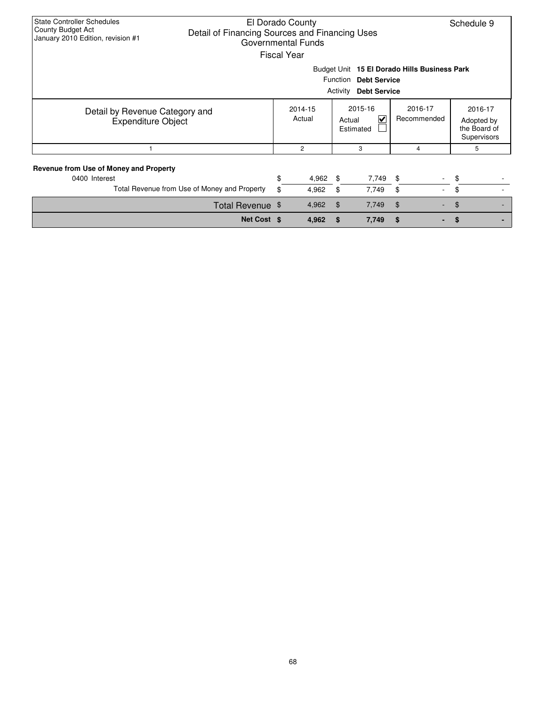| <b>State Controller Schedules</b><br>County Budget Act<br>Detail of Financing Sources and Financing Uses<br>January 2010 Edition, revision #1 | El Dorado County<br>Governmental Funds<br><b>Fiscal Year</b> |                                                                                                          |                                     | Schedule 9                                           |
|-----------------------------------------------------------------------------------------------------------------------------------------------|--------------------------------------------------------------|----------------------------------------------------------------------------------------------------------|-------------------------------------|------------------------------------------------------|
|                                                                                                                                               |                                                              | Budget Unit 15 El Dorado Hills Business Park<br>Function Debt Service<br>Activity<br><b>Debt Service</b> |                                     |                                                      |
| Detail by Revenue Category and<br><b>Expenditure Object</b>                                                                                   | 2014-15<br>Actual                                            | 2015-16<br>⊽<br>Actual<br>Estimated                                                                      | 2016-17<br>Recommended              | 2016-17<br>Adopted by<br>the Board of<br>Supervisors |
|                                                                                                                                               | $\overline{c}$                                               | 3                                                                                                        | 4                                   | 5                                                    |
| Revenue from Use of Money and Property<br>0400 Interest<br>Total Revenue from Use of Money and Property                                       | \$<br>4,962<br>\$<br>4,962                                   | 7,749<br>-\$<br>\$<br>7,749                                                                              | $\frac{1}{2}$<br>$\sim$<br>\$<br>÷. | \$<br>\$                                             |
| Total Revenue \$                                                                                                                              | 4,962                                                        | \$<br>7,749                                                                                              | $\mathfrak{F}$                      | \$                                                   |
| Net Cost \$                                                                                                                                   | 4,962                                                        | 7,749<br>\$.                                                                                             | \$                                  |                                                      |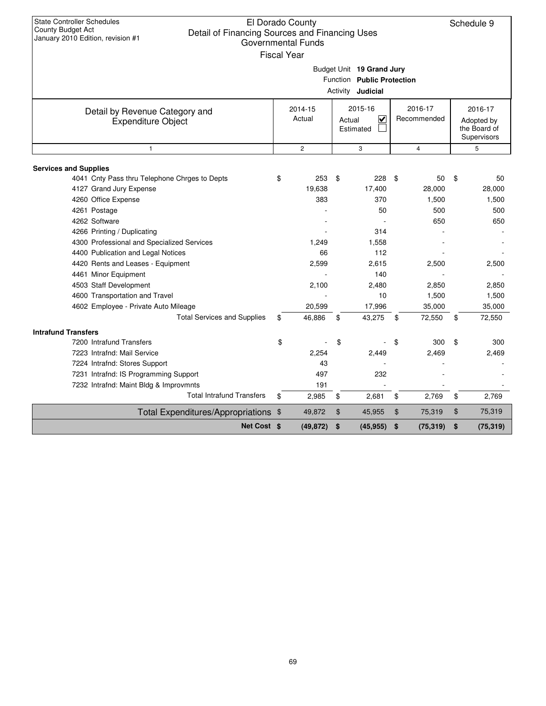| <b>State Controller Schedules</b><br>County Budget Act<br>Detail of Financing Sources and Financing Uses<br>January 2010 Edition, revision #1 | El Dorado County<br><b>Governmental Funds</b><br><b>Fiscal Year</b> | Budget Unit 19 Grand Jury<br>Function Public Protection<br>Activity <b>Judicial</b> |                        | Schedule 9                                           |
|-----------------------------------------------------------------------------------------------------------------------------------------------|---------------------------------------------------------------------|-------------------------------------------------------------------------------------|------------------------|------------------------------------------------------|
| Detail by Revenue Category and<br><b>Expenditure Object</b>                                                                                   | 2014-15<br>Actual                                                   | 2015-16<br>⊽<br>Actual<br>Estimated                                                 | 2016-17<br>Recommended | 2016-17<br>Adopted by<br>the Board of<br>Supervisors |
| $\mathbf{1}$                                                                                                                                  | $\overline{2}$                                                      | 3                                                                                   | $\overline{4}$         | 5                                                    |
|                                                                                                                                               |                                                                     |                                                                                     |                        |                                                      |
| <b>Services and Supplies</b><br>4041 Cnty Pass thru Telephone Chrges to Depts                                                                 | \$<br>253                                                           | \$<br>228                                                                           | \$<br>50               | \$<br>50                                             |
| 4127 Grand Jury Expense                                                                                                                       | 19,638                                                              | 17,400                                                                              | 28,000                 | 28,000                                               |
| 4260 Office Expense                                                                                                                           | 383                                                                 | 370                                                                                 | 1,500                  | 1,500                                                |
| 4261 Postage                                                                                                                                  |                                                                     | 50                                                                                  | 500                    | 500                                                  |
| 4262 Software                                                                                                                                 |                                                                     |                                                                                     | 650                    | 650                                                  |
| 4266 Printing / Duplicating                                                                                                                   |                                                                     | 314                                                                                 |                        |                                                      |
| 4300 Professional and Specialized Services                                                                                                    | 1.249                                                               | 1,558                                                                               |                        |                                                      |
| 4400 Publication and Legal Notices                                                                                                            | 66                                                                  | 112                                                                                 |                        |                                                      |
| 4420 Rents and Leases - Equipment                                                                                                             | 2,599                                                               | 2,615                                                                               | 2,500                  | 2,500                                                |
| 4461 Minor Equipment                                                                                                                          |                                                                     | 140                                                                                 |                        |                                                      |
| 4503 Staff Development                                                                                                                        | 2,100                                                               | 2,480                                                                               | 2.850                  | 2.850                                                |
| 4600 Transportation and Travel                                                                                                                |                                                                     | 10                                                                                  | 1,500                  | 1,500                                                |
| 4602 Employee - Private Auto Mileage                                                                                                          | 20,599                                                              | 17,996                                                                              | 35,000                 | 35,000                                               |
| <b>Total Services and Supplies</b>                                                                                                            | \$<br>46,886                                                        | 43,275<br>\$                                                                        | \$<br>72,550           | \$<br>72,550                                         |
| <b>Intrafund Transfers</b>                                                                                                                    |                                                                     |                                                                                     |                        |                                                      |
| 7200 Intrafund Transfers                                                                                                                      | \$                                                                  | \$                                                                                  | \$<br>300              | \$<br>300                                            |
| 7223 Intrafnd: Mail Service                                                                                                                   | 2,254                                                               | 2,449                                                                               | 2,469                  | 2,469                                                |
| 7224 Intrafnd: Stores Support                                                                                                                 | 43                                                                  |                                                                                     |                        |                                                      |
| 7231 Intrafnd: IS Programming Support                                                                                                         | 497                                                                 | 232                                                                                 |                        |                                                      |
| 7232 Intrafnd: Maint Bldg & Improvmnts                                                                                                        | 191                                                                 |                                                                                     |                        |                                                      |
| <b>Total Intrafund Transfers</b>                                                                                                              | \$<br>2,985                                                         | \$<br>2,681                                                                         | \$<br>2,769            | \$<br>2,769                                          |
| Total Expenditures/Appropriations \$                                                                                                          | 49,872                                                              | \$<br>45,955                                                                        | \$<br>75,319           | \$<br>75,319                                         |
| Net Cost \$                                                                                                                                   | (49, 872)                                                           | \$<br>(45, 955)                                                                     | \$<br>(75, 319)        | \$<br>(75, 319)                                      |